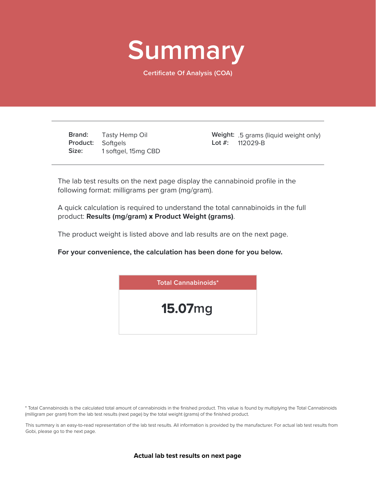

**Certificate Of Analysis (COA)**

**Brand: Product: Size:** Tasty Hemp Oil Softgels 1 softgel, 15mg CBD .5 grams (liquid weight only) **Weight:** 112029-B **Lot #:**

The lab test results on the next page display the cannabinoid profile in the following format: milligrams per gram (mg/gram).

A quick calculation is required to understand the total cannabinoids in the full product: **Results (mg/gram)** x **Product Weight (grams)**.

The product weight is listed above and lab results are on the next page.

**For your convenience, the calculation has been done for you below.**



\* Total Cannabinoids is the calculated total amount of cannabinoids in the finished product. This value is found by multiplying the Total Cannabinoids (milligram per gram) from the lab test results (next page) by the total weight (grams) of the finished product.

This summary is an easy-to-read representation of the lab test results. All information is provided by the manufacturer. For actual lab test results from Gobi, please go to the next page.